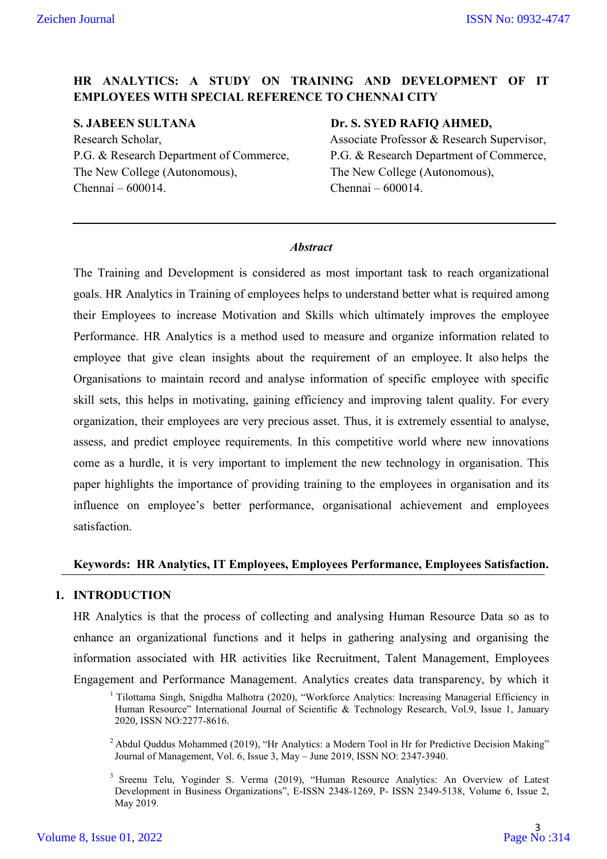# **HR ANALYTICS: A STUDY ON TRAINING AND DEVELOPMENT OF IT EMPLOYEES WITH SPECIAL REFERENCE TO CHENNAI CITY**

**S. JABEEN SULTANA** Dr. S. SYED RAFIQ AHMED, Research Scholar, Associate Professor & Research Supervisor, The New College (Autonomous), The New College (Autonomous), Chennai – 600014. Chennai – 600014.

P.G. & Research Department of Commerce, P.G. & Research Department of Commerce,

#### *Abstract*

The Training and Development is considered as most important task to reach organizational goals. HR Analytics in Training of employees helps to understand better what is required among their Employees to increase Motivation and Skills which ultimately improves the employee Performance. HR Analytics is a method used to measure and organize information related to employee that give clean insights about the requirement of an employee. It also helps the Organisations to maintain record and analyse information of specific employee with specific skill sets, this helps in motivating, gaining efficiency and improving talent quality. For every organization, their employees are very precious asset. Thus, it is extremely essential to analyse, assess, and predict employee requirements. In this competitive world where new innovations come as a hurdle, it is very important to implement the new technology in organisation. This paper highlights the importance of providing training to the employees in organisation and its influence on employee's better performance, organisational achievement and employees satisfaction.

#### **Keywords: HR Analytics, IT Employees, Employees Performance, Employees Satisfaction.**

#### **1. INTRODUCTION**

HR Analytics is that the process of collecting and analysing Human Resource Data so as to enhance an organizational functions and it helps in gathering analysing and organising the information associated with HR activities like Recruitment, Talent Management, Employees Engagement and Performance Management. Analytics creates data transparency, by which it

<sup>&</sup>lt;sup>1</sup> Tilottama Singh, Snigdha Malhotra (2020), "Workforce Analytics: Increasing Managerial Efficiency in Human Resource" International Journal of Scientific & Technology Research, Vol.9, Issue 1, January 2020, ISSN NO:2277-8616.

<sup>&</sup>lt;sup>2</sup> Abdul Quddus Mohammed (2019), "Hr Analytics: a Modern Tool in Hr for Predictive Decision Making" Journal of Management, Vol. 6, Issue 3, May – June 2019, ISSN NO: 2347-3940.

<sup>&</sup>lt;sup>3</sup> Sreenu Telu, Yoginder S. Verma (2019), "Human Resource Analytics: An Overview of Latest Development in Business Organizations", E-ISSN 2348-1269, P- ISSN 2349-5138, Volume 6, Issue 2, May 2019.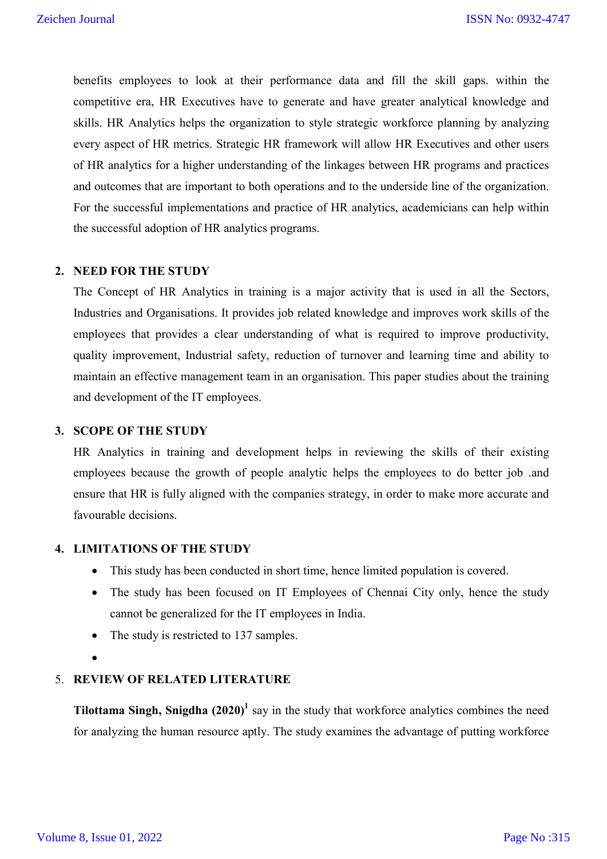benefits employees to look at their performance data and fill the skill gaps. within the competitive era, HR Executives have to generate and have greater analytical knowledge and skills. HR Analytics helps the organization to style strategic workforce planning by analyzing every aspect of HR metrics. Strategic HR framework will allow HR Executives and other users of HR analytics for a higher understanding of the linkages between HR programs and practices and outcomes that are important to both operations and to the underside line of the organization. For the successful implementations and practice of HR analytics, academicians can help within the successful adoption of HR analytics programs.

#### **2. NEED FOR THE STUDY**

The Concept of HR Analytics in training is a major activity that is used in all the Sectors, Industries and Organisations. It provides job related knowledge and improves work skills of the employees that provides a clear understanding of what is required to improve productivity, quality improvement, Industrial safety, reduction of turnover and learning time and ability to maintain an effective management team in an organisation. This paper studies about the training and development of the IT employees.

#### **3. SCOPE OF THE STUDY**

HR Analytics in training and development helps in reviewing the skills of their existing employees because the growth of people analytic helps the employees to do better job .and ensure that HR is fully aligned with the companies strategy, in order to make more accurate and favourable decisions.

## **4. LIMITATIONS OF THE STUDY**

- This study has been conducted in short time, hence limited population is covered.
- The study has been focused on IT Employees of Chennai City only, hence the study cannot be generalized for the IT employees in India.
- The study is restricted to 137 samples.
- $\bullet$

#### 5. **REVIEW OF RELATED LITERATURE**

**Tilottama Singh, Snigdha (2020)<sup>1</sup>** say in the study that workforce analytics combines the need for analyzing the human resource aptly. The study examines the advantage of putting workforce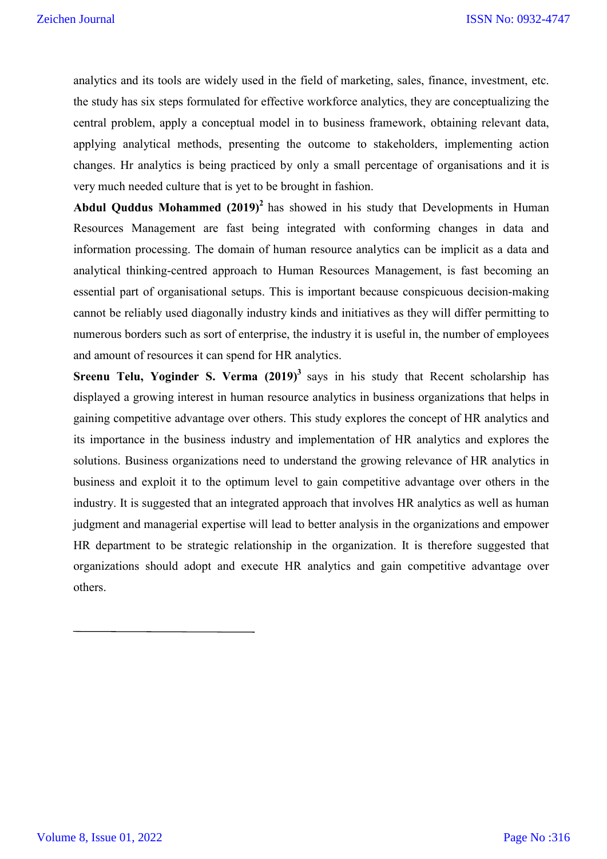analytics and its tools are widely used in the field of marketing, sales, finance, investment, etc. the study has six steps formulated for effective workforce analytics, they are conceptualizing the central problem, apply a conceptual model in to business framework, obtaining relevant data, applying analytical methods, presenting the outcome to stakeholders, implementing action changes. Hr analytics is being practiced by only a small percentage of organisations and it is very much needed culture that is yet to be brought in fashion.

**Abdul Quddus Mohammed (2019) <sup>2</sup>** has showed in his study that Developments in Human Resources Management are fast being integrated with conforming changes in data and information processing. The domain of human resource analytics can be implicit as a data and analytical thinking-centred approach to Human Resources Management, is fast becoming an essential part of organisational setups. This is important because conspicuous decision-making cannot be reliably used diagonally industry kinds and initiatives as they will differ permitting to numerous borders such as sort of enterprise, the industry it is useful in, the number of employees and amount of resources it can spend for HR analytics.

**Sreenu Telu, Yoginder S. Verma (2019)<sup>3</sup>** says in his study that Recent scholarship has displayed a growing interest in human resource analytics in business organizations that helps in gaining competitive advantage over others. This study explores the concept of HR analytics and its importance in the business industry and implementation of HR analytics and explores the solutions. Business organizations need to understand the growing relevance of HR analytics in business and exploit it to the optimum level to gain competitive advantage over others in the industry. It is suggested that an integrated approach that involves HR analytics as well as human judgment and managerial expertise will lead to better analysis in the organizations and empower HR department to be strategic relationship in the organization. It is therefore suggested that organizations should adopt and execute HR analytics and gain competitive advantage over others.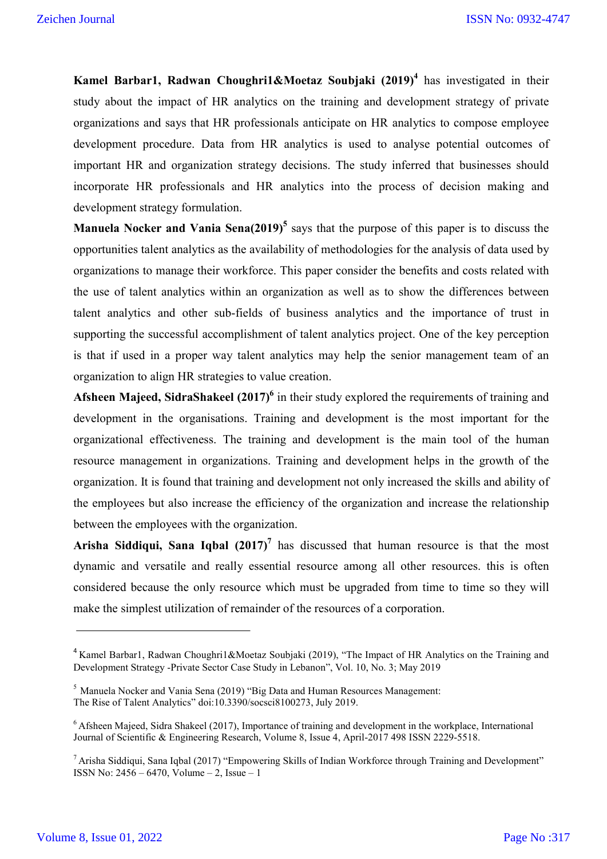**Kamel Barbar1, Radwan Choughri1&Moetaz Soubjaki (2019)<sup>4</sup> has investigated in their** study about the impact of HR analytics on the training and development strategy of private organizations and says that HR professionals anticipate on HR analytics to compose employee development procedure. Data from HR analytics is used to analyse potential outcomes of important HR and organization strategy decisions. The study inferred that businesses should incorporate HR professionals and HR analytics into the process of decision making and development strategy formulation.

**Manuela Nocker and Vania Sena(2019)<sup>5</sup>** says that the purpose of this paper is to discuss the opportunities talent analytics as the availability of methodologies for the analysis of data used by organizations to manage their workforce. This paper consider the benefits and costs related with the use of talent analytics within an organization as well as to show the differences between talent analytics and other sub-fields of business analytics and the importance of trust in supporting the successful accomplishment of talent analytics project. One of the key perception is that if used in a proper way talent analytics may help the senior management team of an organization to align HR strategies to value creation.

Afsheen Majeed, SidraShakeel (2017)<sup>6</sup> in their study explored the requirements of training and development in the organisations. Training and development is the most important for the organizational effectiveness. The training and development is the main tool of the human resource management in organizations. Training and development helps in the growth of the organization. It is found that training and development not only increased the skills and ability of the employees but also increase the efficiency of the organization and increase the relationship between the employees with the organization.

**Arisha Siddiqui, Sana Iqbal**  $(2017)^7$  has discussed that human resource is that the most dynamic and versatile and really essential resource among all other resources. this is often considered because the only resource which must be upgraded from time to time so they will make the simplest utilization of remainder of the resources of a corporation.

<sup>&</sup>lt;sup>4</sup> Kamel Barbar1, Radwan Choughri1&Moetaz Soubjaki (2019), "The Impact of HR Analytics on the Training and Development Strategy -Private Sector Case Study in Lebanon", Vol. 10, No. 3; May 2019

<sup>5</sup> Manuela Nocker and Vania Sena (2019) "Big Data and Human Resources Management: The Rise of Talent Analytics" doi:10.3390/socsci8100273, July 2019.

<sup>&</sup>lt;sup>6</sup> Afsheen Majeed, Sidra Shakeel (2017), Importance of training and development in the workplace, International Journal of Scientific & Engineering Research, Volume 8, Issue 4, April-2017 498 ISSN 2229-5518.

 $7$  Arisha Siddiqui, Sana Iqbal (2017) "Empowering Skills of Indian Workforce through Training and Development" ISSN No: 2456 – 6470, Volume – 2, Issue – 1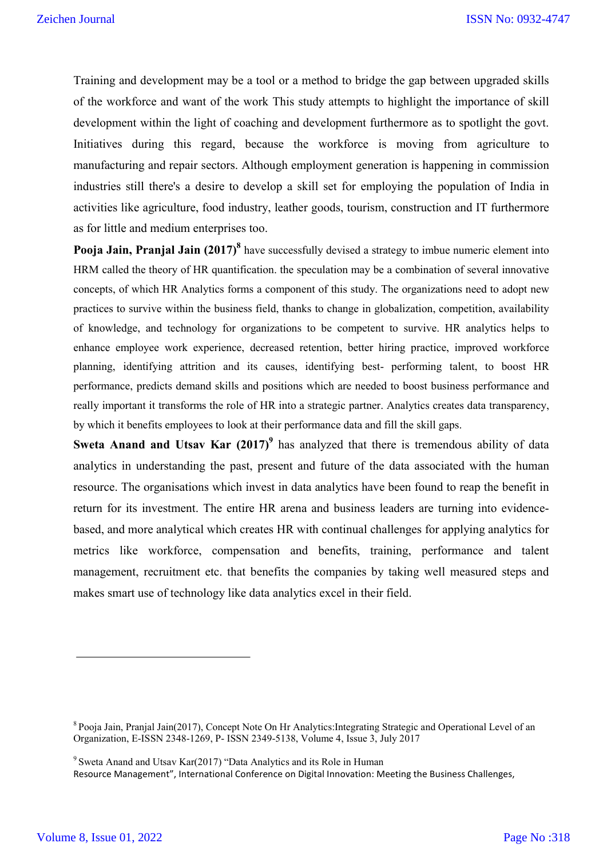Training and development may be a tool or a method to bridge the gap between upgraded skills of the workforce and want of the work This study attempts to highlight the importance of skill development within the light of coaching and development furthermore as to spotlight the govt. Initiatives during this regard, because the workforce is moving from agriculture to manufacturing and repair sectors. Although employment generation is happening in commission industries still there's a desire to develop a skill set for employing the population of India in activities like agriculture, food industry, leather goods, tourism, construction and IT furthermore as for little and medium enterprises too.

**Pooja Jain, Pranjal Jain (2017)<sup>8</sup>** have successfully devised a strategy to imbue numeric element into HRM called the theory of HR quantification. the speculation may be a combination of several innovative concepts, of which HR Analytics forms a component of this study. The organizations need to adopt new practices to survive within the business field, thanks to change in globalization, competition, availability of knowledge, and technology for organizations to be competent to survive. HR analytics helps to enhance employee work experience, decreased retention, better hiring practice, improved workforce planning, identifying attrition and its causes, identifying best- performing talent, to boost HR performance, predicts demand skills and positions which are needed to boost business performance and really important it transforms the role of HR into a strategic partner. Analytics creates data transparency, by which it benefits employees to look at their performance data and fill the skill gaps.

**Sweta Anand and Utsav Kar (2017)<sup>9</sup>** has analyzed that there is tremendous ability of data analytics in understanding the past, present and future of the data associated with the human resource. The organisations which invest in data analytics have been found to reap the benefit in return for its investment. The entire HR arena and business leaders are turning into evidencebased, and more analytical which creates HR with continual challenges for applying analytics for metrics like workforce, compensation and benefits, training, performance and talent management, recruitment etc. that benefits the companies by taking well measured steps and makes smart use of technology like data analytics excel in their field.

<sup>8</sup> Pooja Jain, Pranjal Jain(2017), Concept Note On Hr Analytics:Integrating Strategic and Operational Level of an Organization, E-ISSN 2348-1269, P- ISSN 2349-5138, Volume 4, Issue 3, July 2017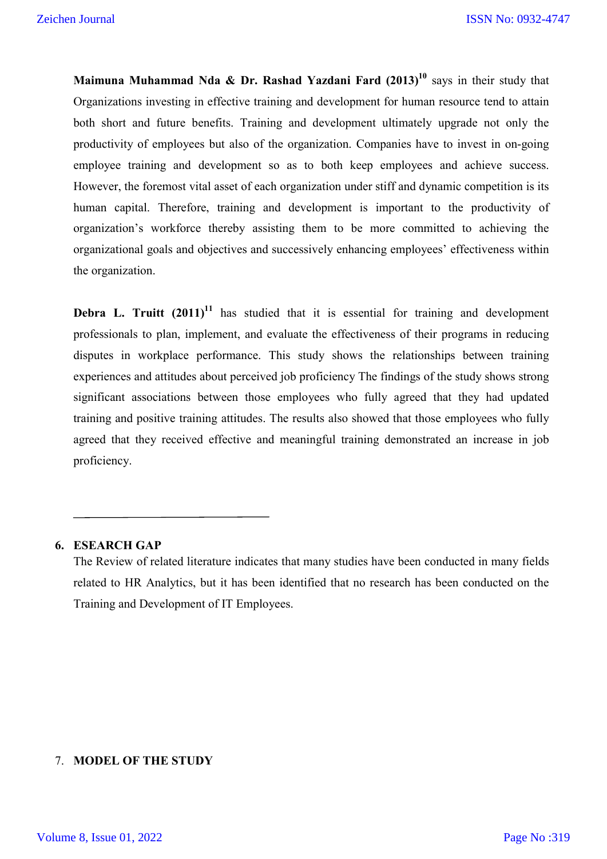**Maimuna Muhammad Nda & Dr. Rashad Yazdani Fard (2013)<sup>10</sup> says in their study that** Organizations investing in effective training and development for human resource tend to attain both short and future benefits. Training and development ultimately upgrade not only the productivity of employees but also of the organization. Companies have to invest in on-going employee training and development so as to both keep employees and achieve success. However, the foremost vital asset of each organization under stiff and dynamic competition is its human capital. Therefore, training and development is important to the productivity of organization's workforce thereby assisting them to be more committed to achieving the organizational goals and objectives and successively enhancing employees' effectiveness within the organization.

**Debra L. Truitt**  $(2011)^{11}$  has studied that it is essential for training and development professionals to plan, implement, and evaluate the effectiveness of their programs in reducing disputes in workplace performance. This study shows the relationships between training experiences and attitudes about perceived job proficiency The findings of the study shows strong significant associations between those employees who fully agreed that they had updated training and positive training attitudes. The results also showed that those employees who fully agreed that they received effective and meaningful training demonstrated an increase in job proficiency.

#### **6. ESEARCH GAP**

The Review of related literature indicates that many studies have been conducted in many fields related to HR Analytics, but it has been identified that no research has been conducted on the Training and Development of IT Employees.

## 7. **MODEL OF THE STUDY**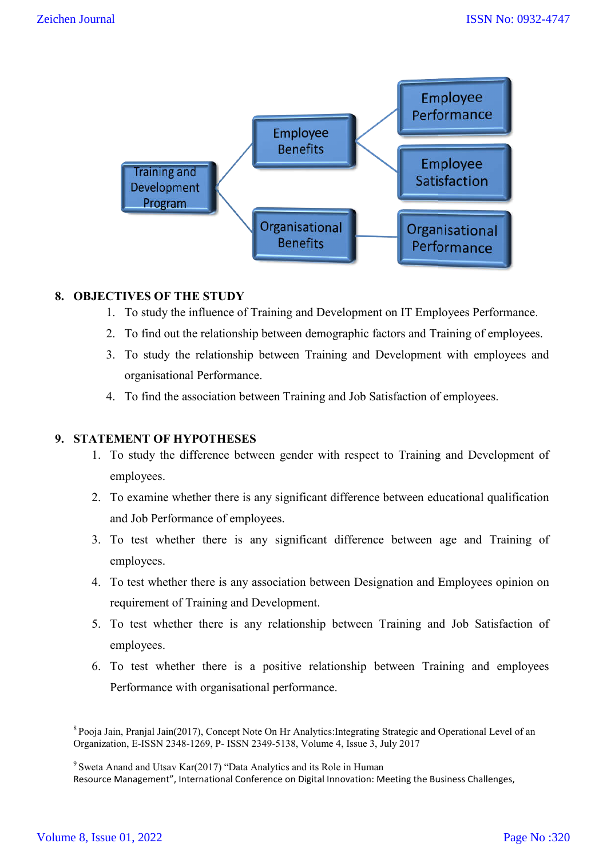

#### **8. OBJECTIVES OF THE STUDY**

- 1. To study the influence of Training and Development on IT Employees Performance.
- 2. To find out the relationship between demographic factors and Training of employees.
- 3. To study the relationship between Training and Development with employees and organisational Performance Performance.
- 4. To find the association between Training and Job Satisfaction of employees.

#### **9. STATEMENT OF HYPOTHESES**

- 1. To study the difference between gender with respect to Training and Development of employees. fluence of Training and Development on IT Employees Performance.<br>
relationship between demographic factors and Training of employees<br>
relationship between Training and Development with employees a<br>
Performance.<br> **OTHESES**<br>
- 2. To examine whether there is any significant difference between educational qualification and Job Performance of employees.
- 3. To test whether there is any significant difference between age and Training of employees.
- 4. To test whether there is any association between Designation and Employees opinion on requirement of Training and Dev Development. test whether there is any significant difference between age and Training of<br>ployees.<br>test whether there is any association between Designation and Employees opinion on<br>uirement of Training and Development.<br>test whether th
- 5. To test whether there is any relationship between Training and Job Satisfaction of employees.
- 6. To test whether there is a positive relationship between Tr Training and Performance with organisational performance.

<sup>9</sup> Sweta Anand and Utsav Kar(2017) "Data Analytics and its Role in Human

Resource Management", International Conference on Digital Innovation: Meeting the Business Challenges,

<sup>&</sup>lt;sup>8</sup> Pooja Jain, Pranjal Jain(2017), Concept Note On Hr Analytics: Integrating Strategic and Operational Level of an Organization, E-ISSN 2348-1269, P 1269, P- ISSN 2349-5138, Volume 4, Issue 3, July 2017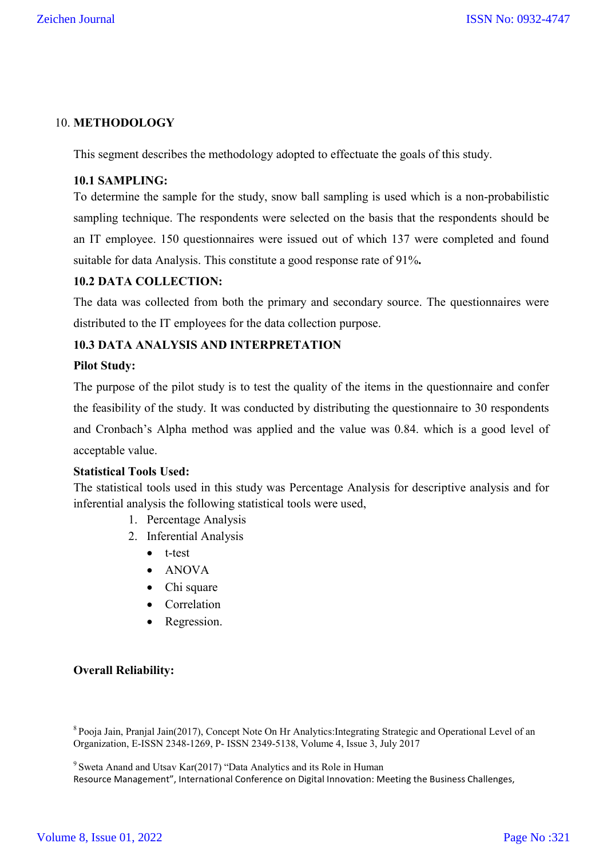## 10. **METHODOLOGY**

This segment describes the methodology adopted to effectuate the goals of this study.

#### **10.1 SAMPLING:**

To determine the sample for the study, snow ball sampling is used which is a non-probabilistic sampling technique. The respondents were selected on the basis that the respondents should be an IT employee. 150 questionnaires were issued out of which 137 were completed and found suitable for data Analysis. This constitute a good response rate of 91%**.**

#### **10.2 DATA COLLECTION:**

The data was collected from both the primary and secondary source. The questionnaires were distributed to the IT employees for the data collection purpose.

#### **10.3 DATA ANALYSIS AND INTERPRETATION**

#### **Pilot Study:**

The purpose of the pilot study is to test the quality of the items in the questionnaire and confer the feasibility of the study. It was conducted by distributing the questionnaire to 30 respondents and Cronbach's Alpha method was applied and the value was 0.84. which is a good level of acceptable value.

#### **Statistical Tools Used:**

The statistical tools used in this study was Percentage Analysis for descriptive analysis and for inferential analysis the following statistical tools were used,

- 1. Percentage Analysis
- 2. Inferential Analysis
	- t-test
	- ANOVA
	- Chi square
	- Correlation
	- Regression.

#### **Overall Reliability:**

8 Pooja Jain, Pranjal Jain(2017), Concept Note On Hr Analytics:Integrating Strategic and Operational Level of an Organization, E-ISSN 2348-1269, P- ISSN 2349-5138, Volume 4, Issue 3, July 2017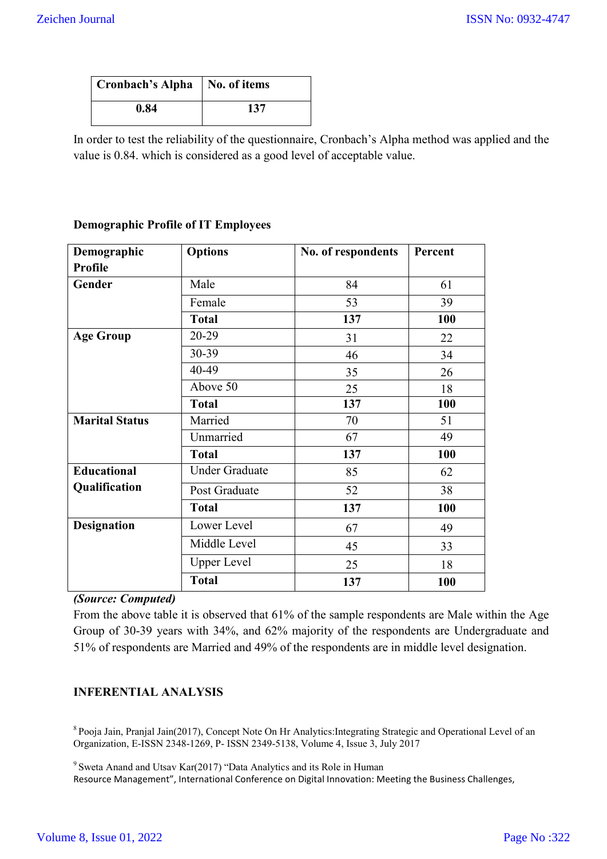| Cronbach's Alpha   No. of items |     |
|---------------------------------|-----|
| 0.84                            | 137 |

In order to test the reliability of the questionnaire, Cronbach's Alpha method was applied and the value is 0.84. which is considered as a good level of acceptable value.

#### **Demographic Profile of IT Employees**

| Demographic           | <b>Options</b>        |     | Percent |
|-----------------------|-----------------------|-----|---------|
| Profile               |                       |     |         |
| Gender                | Male                  | 84  | 61      |
|                       | Female                | 53  | 39      |
|                       | <b>Total</b>          | 137 | 100     |
| <b>Age Group</b>      | 20-29                 | 31  | 22      |
|                       | 30-39                 | 46  | 34      |
|                       | 40-49                 | 35  | 26      |
|                       | Above 50              | 25  | 18      |
|                       | <b>Total</b>          | 137 | 100     |
| <b>Marital Status</b> | Married               | 70  | 51      |
|                       | Unmarried             | 67  | 49      |
|                       | <b>Total</b>          | 137 | 100     |
| <b>Educational</b>    | <b>Under Graduate</b> | 85  | 62      |
| Qualification         | Post Graduate         | 52  | 38      |
|                       | <b>Total</b>          | 137 | 100     |
| <b>Designation</b>    | Lower Level           | 67  | 49      |
|                       | Middle Level          | 45  | 33      |
|                       | <b>Upper Level</b>    | 25  | 18      |
|                       | <b>Total</b>          | 137 | 100     |

## *(Source: Computed)*

From the above table it is observed that 61% of the sample respondents are Male within the Age Group of 30-39 years with 34%, and 62% majority of the respondents are Undergraduate and 51% of respondents are Married and 49% of the respondents are in middle level designation.

## **INFERENTIAL ANALYSIS**

8 Pooja Jain, Pranjal Jain(2017), Concept Note On Hr Analytics:Integrating Strategic and Operational Level of an Organization, E-ISSN 2348-1269, P- ISSN 2349-5138, Volume 4, Issue 3, July 2017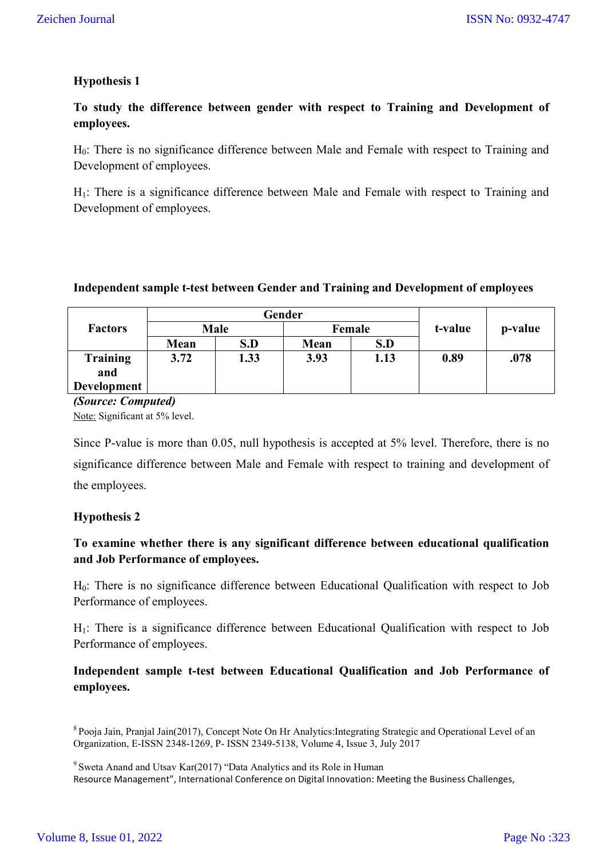# **Hypothesis 1**

**To study the difference between gender with respect to Training and Development of employees.**

H<sub>0</sub>: There is no significance difference between Male and Female with respect to Training and Development of employees.

H1: There is a significance difference between Male and Female with respect to Training and Development of employees.

#### **Independent sample t-test between Gender and Training and Development of employees**

|                    | Gender                |      |         |      |      | p-value |
|--------------------|-----------------------|------|---------|------|------|---------|
| <b>Factors</b>     | <b>Male</b><br>Female |      | t-value |      |      |         |
|                    | Mean                  | S.D  | Mean    | S.D  |      |         |
| <b>Training</b>    | 3.72                  | 1.33 | 3.93    | 1.13 | 0.89 | .078    |
| and                |                       |      |         |      |      |         |
| <b>Development</b> |                       |      |         |      |      |         |

#### *(Source: Computed)*

Note: Significant at 5% level.

Since P-value is more than 0.05, null hypothesis is accepted at 5% level. Therefore, there is no significance difference between Male and Female with respect to training and development of the employees.

#### **Hypothesis 2**

# **To examine whether there is any significant difference between educational qualification and Job Performance of employees.**

H0: There is no significance difference between Educational Qualification with respect to Job Performance of employees.

H1: There is a significance difference between Educational Qualification with respect to Job Performance of employees.

# **Independent sample t-test between Educational Qualification and Job Performance of employees.**

<sup>8</sup> Pooja Jain, Pranjal Jain(2017), Concept Note On Hr Analytics:Integrating Strategic and Operational Level of an Organization, E-ISSN 2348-1269, P- ISSN 2349-5138, Volume 4, Issue 3, July 2017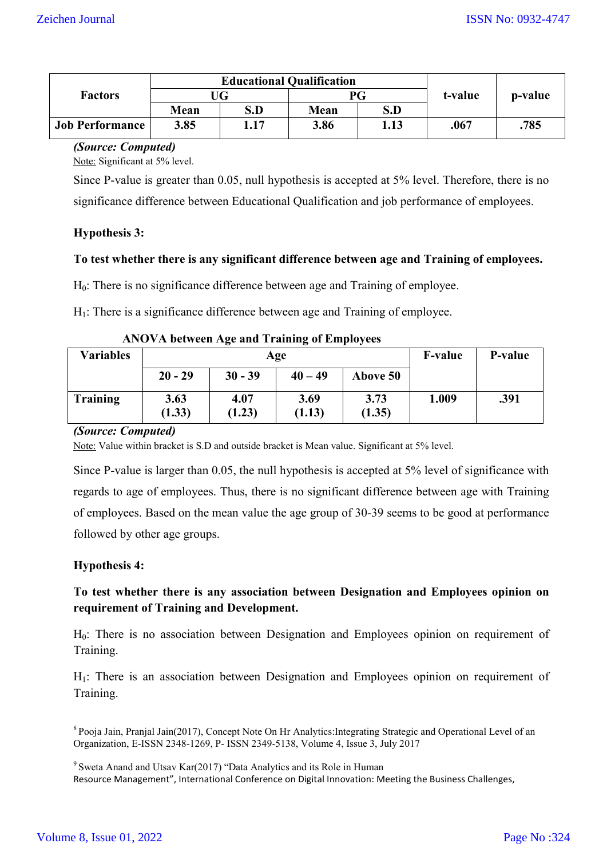|                        |      | <b>Educational Qualification</b> | t-value | p-value |      |      |
|------------------------|------|----------------------------------|---------|---------|------|------|
| <b>Factors</b>         | JG   |                                  |         |         | РG   |      |
|                        | Mean | S.D                              | Mean    | S.D     |      |      |
| <b>Job Performance</b> | 3.85 | 1.17                             | 3.86    | 1.13    | .067 | .785 |

#### *(Source: Computed)*

Note: Significant at 5% level.

Since P-value is greater than 0.05, null hypothesis is accepted at 5% level. Therefore, there is no significance difference between Educational Qualification and job performance of employees.

## **Hypothesis 3:**

#### **To test whether there is any significant difference between age and Training of employees.**

H<sub>0</sub>: There is no significance difference between age and Training of employee.

H1: There is a significance difference between age and Training of employee.

| $11.0$ , $11.0$ will have mit a summing of $m_{\rm H}$ and $m_{\rm H}$ |                |                |                |                |       |      |  |
|------------------------------------------------------------------------|----------------|----------------|----------------|----------------|-------|------|--|
| <b>Variables</b>                                                       |                | Age            | <b>F-value</b> | P-value        |       |      |  |
|                                                                        | $20 - 29$      | $30 - 39$      | $40 - 49$      | Above 50       |       |      |  |
| <b>Training</b>                                                        | 3.63<br>(1.33) | 4.07<br>(1.23) | 3.69<br>(1.13) | 3.73<br>(1.35) | 1.009 | .391 |  |

| <b>ANOVA between Age and Training of Employees</b> |  |  |  |
|----------------------------------------------------|--|--|--|
|----------------------------------------------------|--|--|--|

#### *(Source: Computed)*

Note: Value within bracket is S.D and outside bracket is Mean value. Significant at 5% level.

Since P-value is larger than 0.05, the null hypothesis is accepted at 5% level of significance with regards to age of employees. Thus, there is no significant difference between age with Training of employees. Based on the mean value the age group of 30-39 seems to be good at performance followed by other age groups.

#### **Hypothesis 4:**

# **To test whether there is any association between Designation and Employees opinion on requirement of Training and Development.**

H0: There is no association between Designation and Employees opinion on requirement of Training.

H1: There is an association between Designation and Employees opinion on requirement of Training.

<sup>8</sup> Pooja Jain, Pranjal Jain(2017), Concept Note On Hr Analytics:Integrating Strategic and Operational Level of an Organization, E-ISSN 2348-1269, P- ISSN 2349-5138, Volume 4, Issue 3, July 2017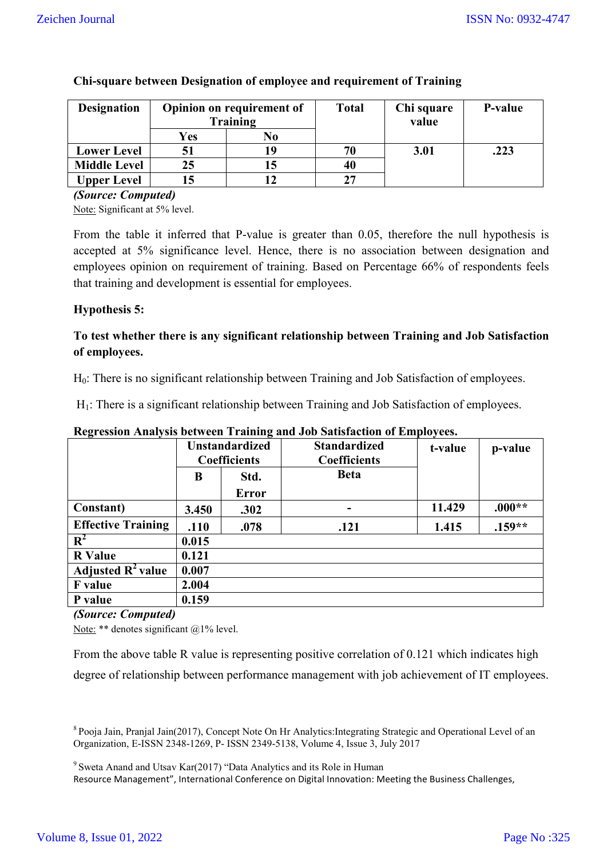| <b>Designation</b>  |          | <b>Opinion on requirement of</b> | <b>Total</b> | Chi square | P-value |
|---------------------|----------|----------------------------------|--------------|------------|---------|
|                     | Training |                                  |              | value      |         |
|                     | Yes      | No                               |              |            |         |
| <b>Lower Level</b>  |          | 19                               | 70           | 3.01       | .223    |
| <b>Middle Level</b> | 25       |                                  | 40           |            |         |
| <b>Upper Level</b>  |          |                                  | 27           |            |         |

#### **Chi-square between Designation of employee and requirement of Training**

*(Source: Computed)*

Note: Significant at 5% level.

From the table it inferred that P-value is greater than 0.05, therefore the null hypothesis is accepted at 5% significance level. Hence, there is no association between designation and employees opinion on requirement of training. Based on Percentage 66% of respondents feels that training and development is essential for employees.

## **Hypothesis 5:**

# **To test whether there is any significant relationship between Training and Job Satisfaction of employees.**

H0: There is no significant relationship between Training and Job Satisfaction of employees.

H<sub>1</sub>: There is a significant relationship between Training and Job Satisfaction of employees.

|                               | <b>Unstandardized</b> |                     | <b>Standardized</b> | t-value | p-value  |
|-------------------------------|-----------------------|---------------------|---------------------|---------|----------|
|                               |                       | <b>Coefficients</b> | <b>Coefficients</b> |         |          |
|                               | B                     | Std.                | <b>Beta</b>         |         |          |
|                               |                       | <b>Error</b>        |                     |         |          |
| Constant)                     | 3.450                 | .302                |                     | 11.429  | $.000**$ |
| <b>Effective Training</b>     | .110                  | .078                | .121                | 1.415   | $.159**$ |
| $\mathbb{R}^2$                | 0.015                 |                     |                     |         |          |
| <b>R</b> Value                | 0.121                 |                     |                     |         |          |
| Adjusted $\mathbb{R}^2$ value | 0.007                 |                     |                     |         |          |
| <b>F</b> value                | 2.004                 |                     |                     |         |          |
| P value                       | 0.159                 |                     |                     |         |          |

## **Regression Analysis between Training and Job Satisfaction of Employees.**

#### *(Source: Computed)*

Note: \*\* denotes significant @1% level.

From the above table R value is representing positive correlation of 0.121 which indicates high

degree of relationship between performance management with job achievement of IT employees.

8 Pooja Jain, Pranjal Jain(2017), Concept Note On Hr Analytics:Integrating Strategic and Operational Level of an Organization, E-ISSN 2348-1269, P- ISSN 2349-5138, Volume 4, Issue 3, July 2017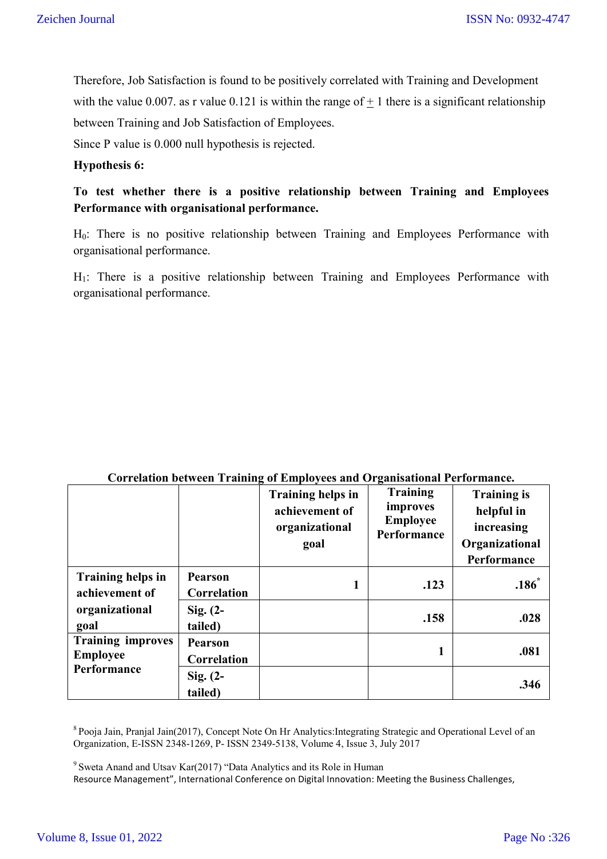Therefore, Job Satisfaction is found to be positively correlated with Training and Development with the value 0.007. as r value 0.121 is within the range of  $+1$  there is a significant relationship between Training and Job Satisfaction of Employees.

Since P value is 0.000 null hypothesis is rejected.

#### **Hypothesis 6:**

**To test whether there is a positive relationship between Training and Employees Performance with organisational performance.**

H0: There is no positive relationship between Training and Employees Performance with organisational performance.

H1: There is a positive relationship between Training and Employees Performance with organisational performance.

|                                             |                               | <b>Training helps in</b><br>achievement of<br>organizational<br>goal | -<br><b>Training</b><br>improves<br><b>Employee</b><br>Performance | <b>Training is</b><br>helpful in<br>increasing<br>Organizational<br>Performance |
|---------------------------------------------|-------------------------------|----------------------------------------------------------------------|--------------------------------------------------------------------|---------------------------------------------------------------------------------|
| <b>Training helps in</b><br>achievement of  | <b>Pearson</b><br>Correlation |                                                                      | .123                                                               | .186                                                                            |
| organizational<br>goal                      | $Sig. (2-$<br>tailed)         |                                                                      | .158                                                               | .028                                                                            |
| <b>Training improves</b><br><b>Employee</b> | <b>Pearson</b><br>Correlation |                                                                      | 1                                                                  | .081                                                                            |
| Performance                                 | $Sig. (2-$<br>tailed)         |                                                                      |                                                                    | .346                                                                            |

#### **Correlation between Training of Employees and Organisational Performance.**

8 Pooja Jain, Pranjal Jain(2017), Concept Note On Hr Analytics:Integrating Strategic and Operational Level of an Organization, E-ISSN 2348-1269, P- ISSN 2349-5138, Volume 4, Issue 3, July 2017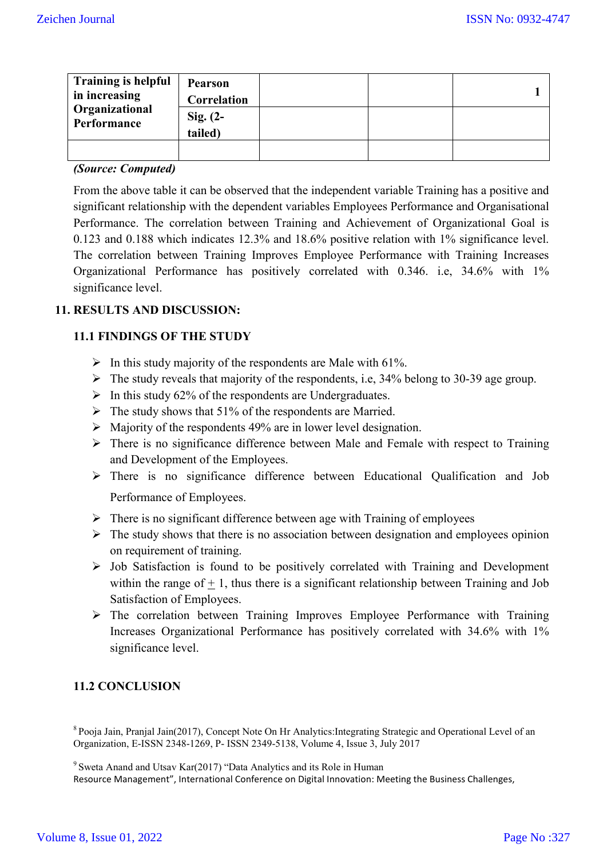| <b>Training is helpful</b><br>in increasing<br>Organizational<br>Performance | <b>Pearson</b><br>Correlation |  |  |
|------------------------------------------------------------------------------|-------------------------------|--|--|
|                                                                              | Sig. $(2-$<br>tailed)         |  |  |
|                                                                              |                               |  |  |

#### *(Source: Computed)*

From the above table it can be observed that the independent variable Training has a positive and significant relationship with the dependent variables Employees Performance and Organisational Performance. The correlation between Training and Achievement of Organizational Goal is 0.123 and 0.188 which indicates 12.3% and 18.6% positive relation with 1% significance level. The correlation between Training Improves Employee Performance with Training Increases Organizational Performance has positively correlated with 0.346. i.e, 34.6% with 1% significance level.

## **11. RESULTS AND DISCUSSION:**

#### **11.1 FINDINGS OF THE STUDY**

- $\triangleright$  In this study majority of the respondents are Male with 61%.
- $\triangleright$  The study reveals that majority of the respondents, i.e, 34% belong to 30-39 age group.
- $\triangleright$  In this study 62% of the respondents are Undergraduates.
- $\triangleright$  The study shows that 51% of the respondents are Married.
- $\triangleright$  Majority of the respondents 49% are in lower level designation.
- $\triangleright$  There is no significance difference between Male and Female with respect to Training and Development of the Employees.
- There is no significance difference between Educational Qualification and Job Performance of Employees.
- $\triangleright$  There is no significant difference between age with Training of employees
- $\triangleright$  The study shows that there is no association between designation and employees opinion on requirement of training.
- $\triangleright$  Job Satisfaction is found to be positively correlated with Training and Development within the range of  $\pm$  1, thus there is a significant relationship between Training and Job Satisfaction of Employees.
- $\triangleright$  The correlation between Training Improves Employee Performance with Training Increases Organizational Performance has positively correlated with 34.6% with 1% significance level.

# **11.2 CONCLUSION**

8 Pooja Jain, Pranjal Jain(2017), Concept Note On Hr Analytics:Integrating Strategic and Operational Level of an Organization, E-ISSN 2348-1269, P- ISSN 2349-5138, Volume 4, Issue 3, July 2017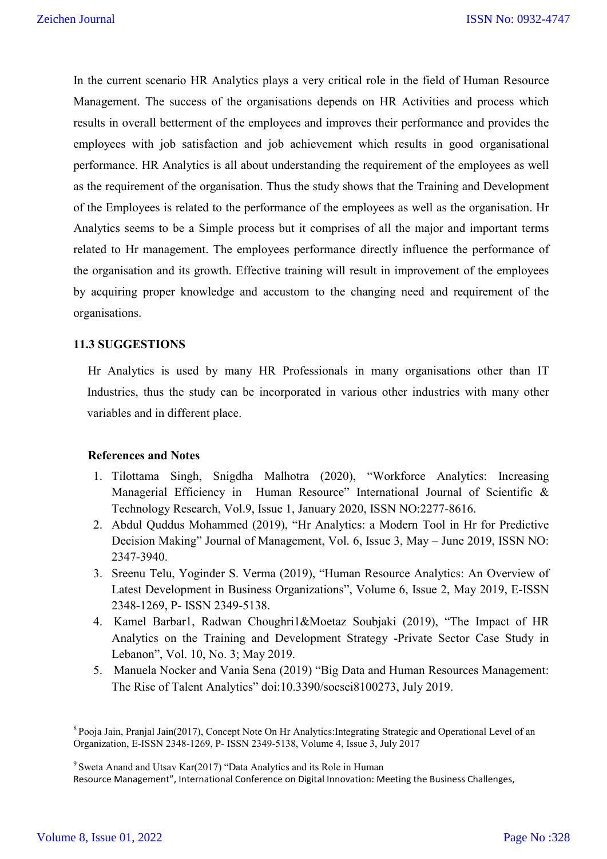In the current scenario HR Analytics plays a very critical role in the field of Human Resource Management. The success of the organisations depends on HR Activities and process which results in overall betterment of the employees and improves their performance and provides the employees with job satisfaction and job achievement which results in good organisational performance. HR Analytics is all about understanding the requirement of the employees as well as the requirement of the organisation. Thus the study shows that the Training and Development of the Employees is related to the performance of the employees as well as the organisation. Hr Analytics seems to be a Simple process but it comprises of all the major and important terms related to Hr management. The employees performance directly influence the performance of the organisation and its growth. Effective training will result in improvement of the employees by acquiring proper knowledge and accustom to the changing need and requirement of the organisations.

#### **11.3 SUGGESTIONS**

Hr Analytics is used by many HR Professionals in many organisations other than IT Industries, thus the study can be incorporated in various other industries with many other variables and in different place.

#### **References and Notes**

- 1. Tilottama Singh, Snigdha Malhotra (2020), "Workforce Analytics: Increasing Managerial Efficiency in Human Resource" International Journal of Scientific & Technology Research, Vol.9, Issue 1, January 2020, ISSN NO:2277-8616.
- 2. Abdul Quddus Mohammed (2019), "Hr Analytics: a Modern Tool in Hr for Predictive Decision Making" Journal of Management, Vol. 6, Issue 3, May – June 2019, ISSN NO: 2347-3940.
- 3. Sreenu Telu, Yoginder S. Verma (2019), "Human Resource Analytics: An Overview of Latest Development in Business Organizations", Volume 6, Issue 2, May 2019, E-ISSN 2348-1269, P- ISSN 2349-5138.
- 4. Kamel Barbar1, Radwan Choughri1&Moetaz Soubjaki (2019), "The Impact of HR Analytics on the Training and Development Strategy -Private Sector Case Study in Lebanon", Vol. 10, No. 3; May 2019.
- 5. Manuela Nocker and Vania Sena (2019) "Big Data and Human Resources Management: The Rise of Talent Analytics" doi:10.3390/socsci8100273, July 2019.

<sup>9</sup> Sweta Anand and Utsav Kar(2017) "Data Analytics and its Role in Human

Resource Management", International Conference on Digital Innovation: Meeting the Business Challenges,

<sup>8</sup> Pooja Jain, Pranjal Jain(2017), Concept Note On Hr Analytics:Integrating Strategic and Operational Level of an Organization, E-ISSN 2348-1269, P- ISSN 2349-5138, Volume 4, Issue 3, July 2017